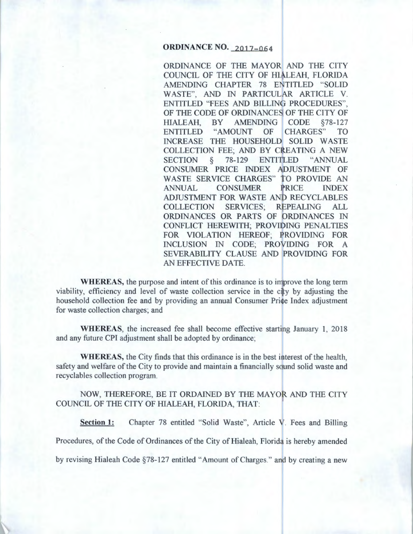# **ORDINANCE NO. 2017-064**

ORDINANCE OF THE MAYOR AND THE CITY COUNCIL OF THE CITY OF HIALEAH, FLORIDA AMENDING CHAPTER 78 ENTITLED "SOLID WASTE", AND IN PARTICULAR ARTICLE V. ENTITLED "FEES AND BILLING PROCEDURES", OF THE CODE OF ORDINANCES OF THE CITY OF HIALEAH, BY AMENDING CODE §78-127 ENTITLED "AMOUNT OF CHARGES" TO INCREASE THE HOUSEHOLD SOLID WASTE COLLECTION FEE; AND BY CREATING A NEW SECTION § 78-129 ENTITLED "ANNUAL CONSUMER PRICE INDEX ADJUSTMENT OF WASTE SERVICE CHARGES" TO PROVIDE AN ANNUAL CONSUMER PRICE INDEX ADJUSTMENT FOR WASTE AND RECYCLABLES COLLECTION SERVICES; REPEALING ALL ORDINANCES OR PARTS OF ORDINANCES IN CONFLICT HEREWITH; PROVIDING PENALTIES FOR VIOLATION HEREOF; PROVIDING FOR INCLUSION IN CODE; PROVIDING FOR A SEVERABILITY CLAUSE AND PROVIDING FOR AN EFFECTIVE DATE.

**WHEREAS, the purpose and intent of this ordinance is to improve the long term** viability, efficiency and level of waste collection service in the city by adjusting the household collection fee and by providing an annual Consumer Price Index adjustment for waste collection charges; and

**WHEREAS,** the increased fee shall become effective starting January 1, 2018 and any future CPI adjustment shall be adopted by ordinance;

**WHEREAS,** the City finds that this ordinance is in the best interest of the health, safety and welfare of the City to provide and maintain a financially sound solid waste and recyclables collection program.

NOW, THEREFORE, BE IT ORDAINED BY THE MAYOR AND THE CITY COUNCIL OF THE CITY OF HIALEAH, FLORIDA, THAT:

**Section 1:** Chapter 78 entitled "Solid Waste", Article V. Fees and Billing Procedures, of the Code of Ordinances of the City of Hialeah, Florida is hereby amended

by revising Hialeah Code §78-127 entitled "Amount of Charges." and by creating a new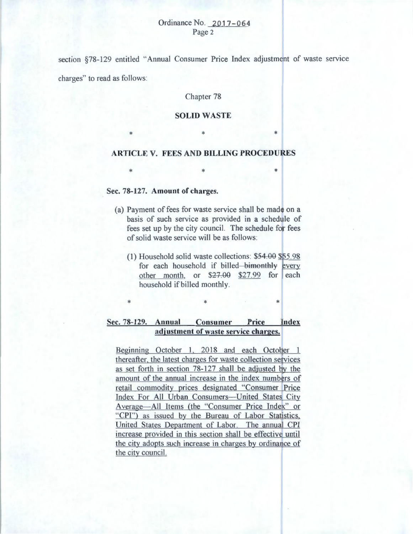## Ordinance No. 2017-064 Page 2

section §78-129 entitled "Annual Consumer Price Index adjustment of waste service charges" to read as follows:

# Chapter 78

#### SOLID WASTE

## ARTICLE V. FEES AND BILLING PROCEDURES

 $*$   $*$   $**$ 

 $*$   $*$   $*$ 

## Sec. 78-127. Amount of charges.

- (a) Payment of fees for waste service shall be made on a basis of such service as provided in a schedule of fees set up by the city council. The schedule for fees of solid waste service will be as follows:
	- $(1)$  Household solid waste collections: \$54.00 \$55.98 for each household if billed-bimonthly every other month, or  $$27.99$  for each household if billed monthly.

# Sec. 78-129. Annual Consumer Price Index adjustment of waste service charges.

 $*$  . The set of the set of the set of the set of the set of the set of the set of the set of the set of the set of the set of the set of the set of the set of the set of the set of the set of the set of the set of the se

Beginning October 1, 2018 and each October 1 thereafter, the latest charges for waste collection services as set forth in section 78-127 shall be adjusted by the amount of the annual increase in the index numbers of retail commodity prices designated "Consumer Price Index For All Urban Consumers-United States City Average-All Items (the "Consumer Price Index" or "CPI") as issued by the Bureau of Labor Statistics, United States Department of Labor. The annual CPI increase provided in this section shall be effective until the city adopts such increase in charges by ordinance of the city council.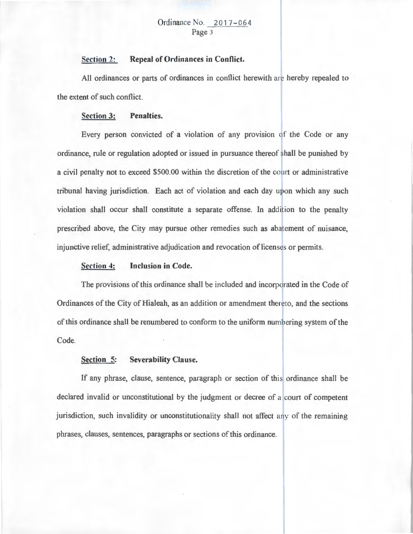#### **Section 2: Repeal of Ordinances in Conflict.**

All ordinances or parts of ordinances in conflict herewith are hereby repealed to the extent of such conflict.

### **Section 3: Penalties.**

Every person convicted of a violation of any provision of the Code or any ordinance, rule or regulation adopted or issued in pursuance thereof shall be punished by a civil penalty not to exceed \$500.00 within the discretion of the court or administrative tribunal having jurisdiction. Each act of violation and each day upon which any such violation shall occur shall constitute a separate offense. In addition to the penalty prescribed above, the City may pursue other remedies such as abatement of nuisance, injunctive relief, administrative adjudication and revocation of licenses or permits.

## **Section 4: Inclusion in Code.**

The provisions of this ordinance shall be included and incorporated in the Code of Ordinances of the City of Hialeah, as an addition or amendment thereto, and the sections ofthis ordinance shall be renumbered to conform to the uniform numbering system of the Code.

#### **Section 5: Severability Clause.**

If any phrase, clause, sentence, paragraph or section of this ordinance shall be declared invalid or unconstitutional by the judgment or decree of a court of competent jurisdiction, such invalidity or unconstitutionality shall not affect any of the remaining phrases, clauses, sentences, paragraphs or sections of this ordinance.